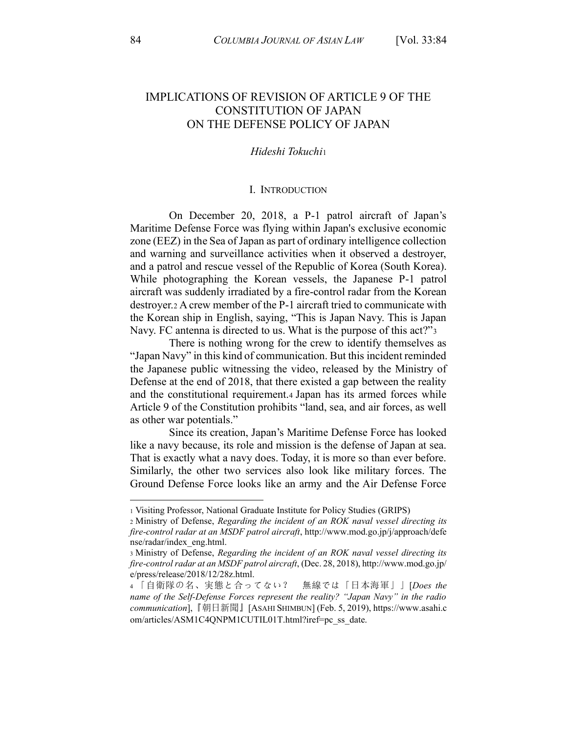# **IMPLICATIONS OF REVISION OF ARTICLE 9 OF THE CONSTITUTION OF JAPAN** ON THE DEFENSE POLICY OF JAPAN

### Hideshi Tokuchi

#### I. INTRODUCTION

On December 20, 2018, a P-1 patrol aircraft of Japan's Maritime Defense Force was flying within Japan's exclusive economic zone (EEZ) in the Sea of Japan as part of ordinary intelligence collection and warning and surveillance activities when it observed a destroyer, and a patrol and rescue vessel of the Republic of Korea (South Korea). While photographing the Korean vessels, the Japanese P-1 patrol aircraft was suddenly irradiated by a fire-control radar from the Korean destroyer.2 A crew member of the P-1 aircraft tried to communicate with the Korean ship in English, saying, "This is Japan Navy. This is Japan Navy. FC antenna is directed to us. What is the purpose of this act?"3

There is nothing wrong for the crew to identify themselves as "Japan Navy" in this kind of communication. But this incident reminded the Japanese public witnessing the video, released by the Ministry of Defense at the end of 2018, that there existed a gap between the reality and the constitutional requirement.4 Japan has its armed forces while Article 9 of the Constitution prohibits "land, sea, and air forces, as well as other war potentials."

Since its creation, Japan's Maritime Defense Force has looked like a navy because, its role and mission is the defense of Japan at sea. That is exactly what a navy does. Today, it is more so than ever before. Similarly, the other two services also look like military forces. The Ground Defense Force looks like an army and the Air Defense Force

<sup>1</sup> Visiting Professor, National Graduate Institute for Policy Studies (GRIPS)

<sup>2</sup> Ministry of Defense, Regarding the incident of an ROK naval vessel directing its fire-control radar at an MSDF patrol aircraft, http://www.mod.go.jp/j/approach/defe nse/radar/index eng.html.

<sup>3</sup> Ministry of Defense, Regarding the incident of an ROK naval vessel directing its fire-control radar at an MSDF patrol aircraft, (Dec. 28, 2018), http://www.mod.go.jp/ e/press/release/2018/12/28z.html.

<sup>4 「</sup>自衛隊の名、実態と合ってない? 無線では「日本海軍」」[Does the name of the Self-Defense Forces represent the reality? "Japan Navy" in the radio *communication*], 『朝日新聞』[ASAHI SHIMBUN] (Feb. 5, 2019), https://www.asahi.c om/articles/ASM1C4QNPM1CUTIL01T.html?iref=pc ss date.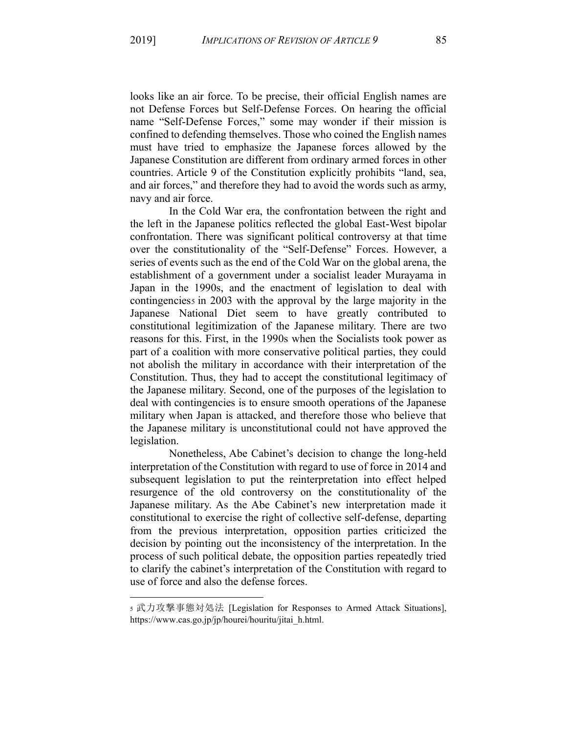looks like an air force. To be precise, their official English names are not Defense Forces but Self-Defense Forces. On hearing the official name "Self-Defense Forces," some may wonder if their mission is confined to defending themselves. Those who coined the English names must have tried to emphasize the Japanese forces allowed by the Japanese Constitution are different from ordinary armed forces in other countries. Article 9 of the Constitution explicitly prohibits "land, sea, and air forces," and therefore they had to avoid the words such as army, navy and air force.

In the Cold War era, the confrontation between the right and the left in the Japanese politics reflected the global East-West bipolar confrontation. There was significant political controversy at that time over the constitutionality of the "Self-Defense" Forces. However, a series of events such as the end of the Cold War on the global arena, the establishment of a government under a socialist leader Murayama in Japan in the 1990s, and the enactment of legislation to deal with contingenciess in 2003 with the approval by the large majority in the Japanese National Diet seem to have greatly contributed to constitutional legitimization of the Japanese military. There are two reasons for this. First, in the 1990s when the Socialists took power as part of a coalition with more conservative political parties, they could not abolish the military in accordance with their interpretation of the Constitution. Thus, they had to accept the constitutional legitimacy of the Japanese military. Second, one of the purposes of the legislation to deal with contingencies is to ensure smooth operations of the Japanese military when Japan is attacked, and therefore those who believe that the Japanese military is unconstitutional could not have approved the legislation.

Nonetheless, Abe Cabinet's decision to change the long-held interpretation of the Constitution with regard to use of force in 2014 and subsequent legislation to put the reinterpretation into effect helped resurgence of the old controversy on the constitutionality of the Japanese military. As the Abe Cabinet's new interpretation made it constitutional to exercise the right of collective self-defense, departing from the previous interpretation, opposition parties criticized the decision by pointing out the inconsistency of the interpretation. In the process of such political debate, the opposition parties repeatedly tried to clarify the cabinet's interpretation of the Constitution with regard to use of force and also the defense forces.

s 武力攻撃事態対処法 [Legislation for Responses to Armed Attack Situations], https://www.cas.go.jp/jp/hourei/houritu/jitai h.html.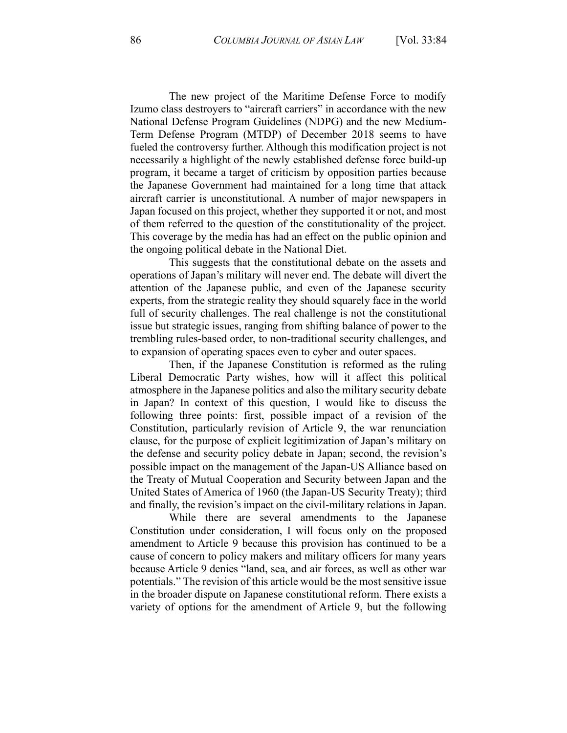The new project of the Maritime Defense Force to modify Izumo class destroyers to "aircraft carriers" in accordance with the new National Defense Program Guidelines (NDPG) and the new Medium-Term Defense Program (MTDP) of December 2018 seems to have fueled the controversy further. Although this modification project is not necessarily a highlight of the newly established defense force build-up program, it became a target of criticism by opposition parties because the Japanese Government had maintained for a long time that attack aircraft carrier is unconstitutional. A number of major newspapers in Japan focused on this project, whether they supported it or not, and most of them referred to the question of the constitutionality of the project. This coverage by the media has had an effect on the public opinion and the ongoing political debate in the National Diet.

This suggests that the constitutional debate on the assets and operations of Japan's military will never end. The debate will divert the attention of the Japanese public, and even of the Japanese security experts, from the strategic reality they should squarely face in the world full of security challenges. The real challenge is not the constitutional issue but strategic issues, ranging from shifting balance of power to the trembling rules-based order, to non-traditional security challenges, and to expansion of operating spaces even to cyber and outer spaces.

Then, if the Japanese Constitution is reformed as the ruling Liberal Democratic Party wishes, how will it affect this political atmosphere in the Japanese politics and also the military security debate in Japan? In context of this question, I would like to discuss the following three points: first, possible impact of a revision of the Constitution, particularly revision of Article 9, the war renunciation clause, for the purpose of explicit legitimization of Japan's military on the defense and security policy debate in Japan; second, the revision's possible impact on the management of the Japan-US Alliance based on the Treaty of Mutual Cooperation and Security between Japan and the United States of America of 1960 (the Japan-US Security Treaty); third and finally, the revision's impact on the civil-military relations in Japan.

While there are several amendments to the Japanese Constitution under consideration, I will focus only on the proposed amendment to Article 9 because this provision has continued to be a cause of concern to policy makers and military officers for many years because Article 9 denies "land, sea, and air forces, as well as other war potentials." The revision of this article would be the most sensitive issue in the broader dispute on Japanese constitutional reform. There exists a variety of options for the amendment of Article 9, but the following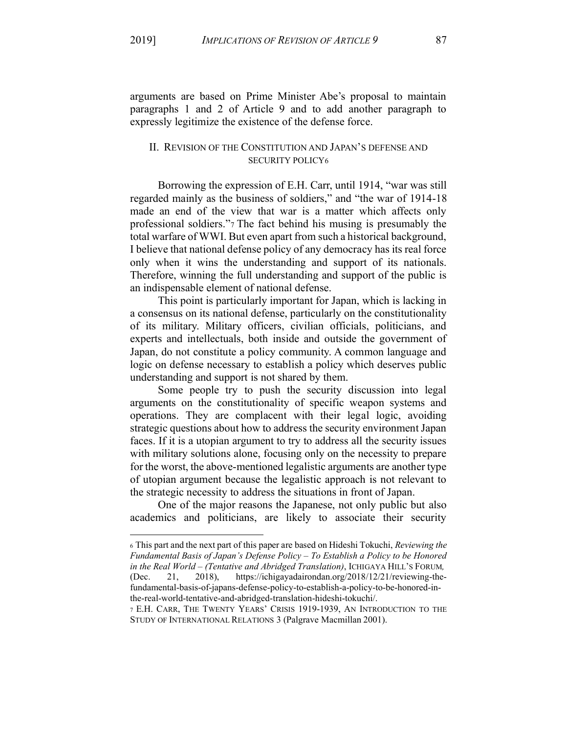arguments are based on Prime Minister Abe's proposal to maintain paragraphs 1 and 2 of Article 9 and to add another paragraph to expressly legitimize the existence of the defense force.

## II. REVISION OF THE CONSTITUTION AND JAPAN'S DEFENSE AND **SECURITY POLICY6**

Borrowing the expression of E.H. Carr, until 1914, "war was still regarded mainly as the business of soldiers," and "the war of 1914-18 made an end of the view that war is a matter which affects only professional soldiers."7 The fact behind his musing is presumably the total warfare of WWI. But even apart from such a historical background, I believe that national defense policy of any democracy has its real force only when it wins the understanding and support of its nationals. Therefore, winning the full understanding and support of the public is an indispensable element of national defense.

This point is particularly important for Japan, which is lacking in a consensus on its national defense, particularly on the constitutionality of its military. Military officers, civilian officials, politicians, and experts and intellectuals, both inside and outside the government of Japan, do not constitute a policy community. A common language and logic on defense necessary to establish a policy which deserves public understanding and support is not shared by them.

Some people try to push the security discussion into legal arguments on the constitutionality of specific weapon systems and operations. They are complacent with their legal logic, avoiding strategic questions about how to address the security environment Japan faces. If it is a utopian argument to try to address all the security issues with military solutions alone, focusing only on the necessity to prepare for the worst, the above-mentioned legalistic arguments are another type of utopian argument because the legalistic approach is not relevant to the strategic necessity to address the situations in front of Japan.

One of the major reasons the Japanese, not only public but also academics and politicians, are likely to associate their security

<sup>6</sup> This part and the next part of this paper are based on Hideshi Tokuchi, Reviewing the Fundamental Basis of Japan's Defense Policy - To Establish a Policy to be Honored in the Real World – (Tentative and Abridged Translation), ICHIGAYA HILL'S FORUM,  $2018$ , https://ichigayadairondan.org/2018/12/21/reviewing-the-(Dec. 21. fundamental-basis-of-japans-defense-policy-to-establish-a-policy-to-be-honored-inthe-real-world-tentative-and-abridged-translation-hideshi-tokuchi/.

<sup>7</sup> E.H. CARR, THE TWENTY YEARS' CRISIS 1919-1939, AN INTRODUCTION TO THE STUDY OF INTERNATIONAL RELATIONS 3 (Palgrave Macmillan 2001).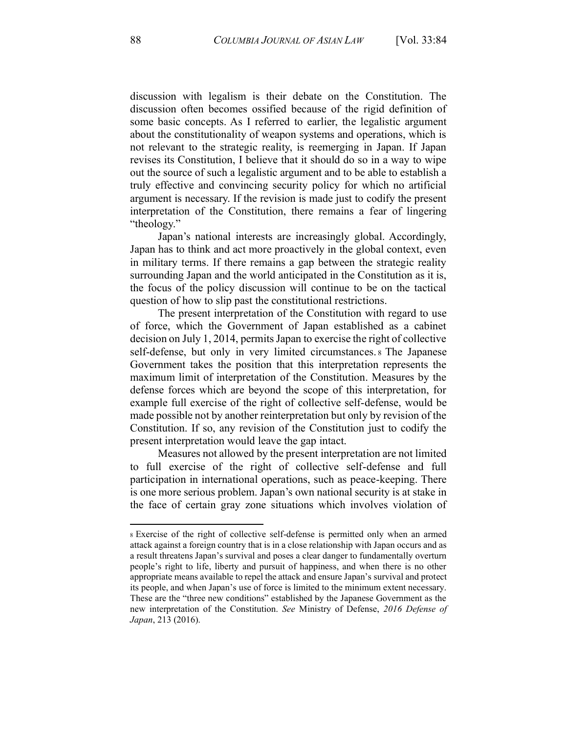discussion with legalism is their debate on the Constitution. The discussion often becomes ossified because of the rigid definition of some basic concepts. As I referred to earlier, the legalistic argument about the constitutionality of weapon systems and operations, which is not relevant to the strategic reality, is reemerging in Japan. If Japan revises its Constitution, I believe that it should do so in a way to wipe out the source of such a legalistic argument and to be able to establish a truly effective and convincing security policy for which no artificial argument is necessary. If the revision is made just to codify the present interpretation of the Constitution, there remains a fear of lingering "theology."

Japan's national interests are increasingly global. Accordingly, Japan has to think and act more proactively in the global context, even in military terms. If there remains a gap between the strategic reality surrounding Japan and the world anticipated in the Constitution as it is, the focus of the policy discussion will continue to be on the tactical question of how to slip past the constitutional restrictions.

The present interpretation of the Constitution with regard to use of force, which the Government of Japan established as a cabinet decision on July 1, 2014, permits Japan to exercise the right of collective self-defense, but only in very limited circumstances a The Japanese Government takes the position that this interpretation represents the maximum limit of interpretation of the Constitution. Measures by the defense forces which are beyond the scope of this interpretation, for example full exercise of the right of collective self-defense, would be made possible not by another reinterpretation but only by revision of the Constitution. If so, any revision of the Constitution just to codify the present interpretation would leave the gap intact.

Measures not allowed by the present interpretation are not limited to full exercise of the right of collective self-defense and full participation in international operations, such as peace-keeping. There is one more serious problem. Japan's own national security is at stake in the face of certain gray zone situations which involves violation of

s Exercise of the right of collective self-defense is permitted only when an armed attack against a foreign country that is in a close relationship with Japan occurs and as a result threatens Japan's survival and poses a clear danger to fundamentally overturn people's right to life, liberty and pursuit of happiness, and when there is no other appropriate means available to repel the attack and ensure Japan's survival and protect its people, and when Japan's use of force is limited to the minimum extent necessary. These are the "three new conditions" established by the Japanese Government as the new interpretation of the Constitution. See Ministry of Defense, 2016 Defense of Japan, 213 (2016).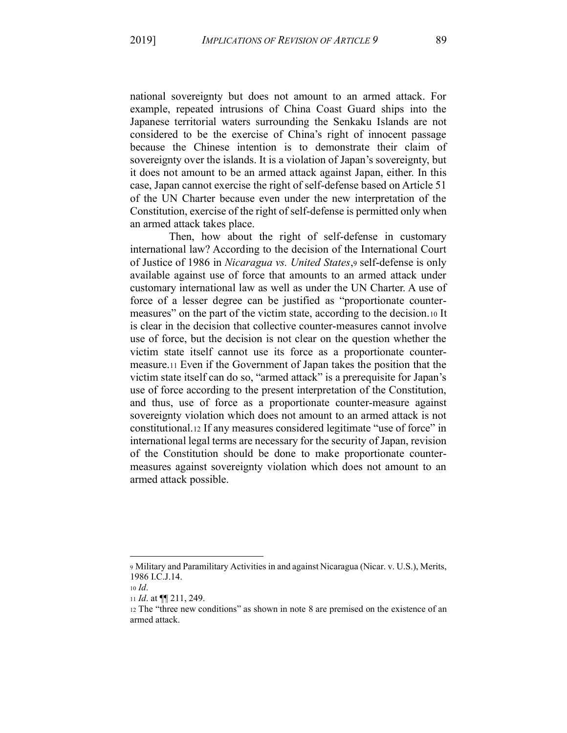national sovereignty but does not amount to an armed attack. For example, repeated intrusions of China Coast Guard ships into the Japanese territorial waters surrounding the Senkaku Islands are not considered to be the exercise of China's right of innocent passage because the Chinese intention is to demonstrate their claim of sovereignty over the islands. It is a violation of Japan's sovereignty, but it does not amount to be an armed attack against Japan, either. In this case, Japan cannot exercise the right of self-defense based on Article 51 of the UN Charter because even under the new interpretation of the Constitution, exercise of the right of self-defense is permitted only when an armed attack takes place.

Then, how about the right of self-defense in customary international law? According to the decision of the International Court of Justice of 1986 in Nicaragua vs. United States, 9 self-defense is only available against use of force that amounts to an armed attack under customary international law as well as under the UN Charter. A use of force of a lesser degree can be justified as "proportionate countermeasures" on the part of the victim state, according to the decision. 10 It is clear in the decision that collective counter-measures cannot involve use of force, but the decision is not clear on the question whether the victim state itself cannot use its force as a proportionate countermeasure.11 Even if the Government of Japan takes the position that the victim state itself can do so, "armed attack" is a prerequisite for Japan's use of force according to the present interpretation of the Constitution, and thus, use of force as a proportionate counter-measure against sovereignty violation which does not amount to an armed attack is not constitutional.12 If any measures considered legitimate "use of force" in international legal terms are necessary for the security of Japan, revision of the Constitution should be done to make proportionate countermeasures against sovereignty violation which does not amount to an armed attack possible.

<sup>9</sup> Military and Paramilitary Activities in and against Nicaragua (Nicar, v. U.S.), Merits, 1986 I.C.J.14.

 $10$  *Id.* 

<sup>11</sup> *Id.* at  $\P\P$  211, 249.

<sup>12</sup> The "three new conditions" as shown in note 8 are premised on the existence of an armed attack.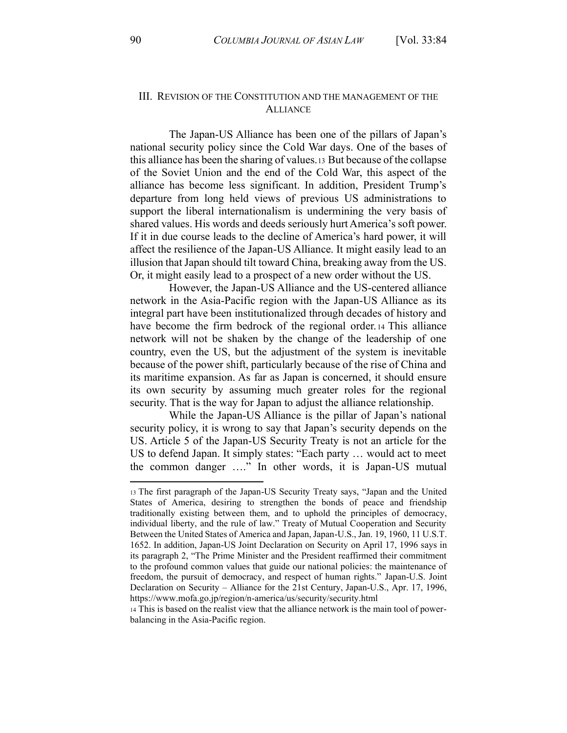## III. REVISION OF THE CONSTITUTION AND THE MANAGEMENT OF THE **ALLIANCE**

The Japan-US Alliance has been one of the pillars of Japan's national security policy since the Cold War days. One of the bases of this alliance has been the sharing of values. 13 But because of the collapse of the Soviet Union and the end of the Cold War, this aspect of the alliance has become less significant. In addition, President Trump's departure from long held views of previous US administrations to support the liberal internationalism is undermining the very basis of shared values. His words and deeds seriously hurt America's soft power. If it in due course leads to the decline of America's hard power, it will affect the resilience of the Japan-US Alliance. It might easily lead to an illusion that Japan should tilt toward China, breaking away from the US. Or, it might easily lead to a prospect of a new order without the US.

However, the Japan-US Alliance and the US-centered alliance network in the Asia-Pacific region with the Japan-US Alliance as its integral part have been institutionalized through decades of history and have become the firm bedrock of the regional order 14 This alliance network will not be shaken by the change of the leadership of one country, even the US, but the adjustment of the system is inevitable because of the power shift, particularly because of the rise of China and its maritime expansion. As far as Japan is concerned, it should ensure its own security by assuming much greater roles for the regional security. That is the way for Japan to adjust the alliance relationship.

While the Japan-US Alliance is the pillar of Japan's national security policy, it is wrong to say that Japan's security depends on the US. Article 5 of the Japan-US Security Treaty is not an article for the US to defend Japan. It simply states: "Each party ... would act to meet the common danger ...." In other words, it is Japan-US mutual

<sup>13</sup> The first paragraph of the Japan-US Security Treaty says, "Japan and the United States of America, desiring to strengthen the bonds of peace and friendship traditionally existing between them, and to uphold the principles of democracy, individual liberty, and the rule of law." Treaty of Mutual Cooperation and Security Between the United States of America and Japan, Japan-U.S., Jan. 19, 1960, 11 U.S.T. 1652. In addition, Japan-US Joint Declaration on Security on April 17, 1996 says in its paragraph 2, "The Prime Minister and the President reaffirmed their commitment to the profound common values that guide our national policies: the maintenance of freedom, the pursuit of democracy, and respect of human rights." Japan-U.S. Joint Declaration on Security – Alliance for the 21st Century, Japan-U.S., Apr. 17, 1996, https://www.mofa.go.jp/region/n-america/us/security/security.html

<sup>14</sup> This is based on the realist view that the alliance network is the main tool of powerbalancing in the Asia-Pacific region.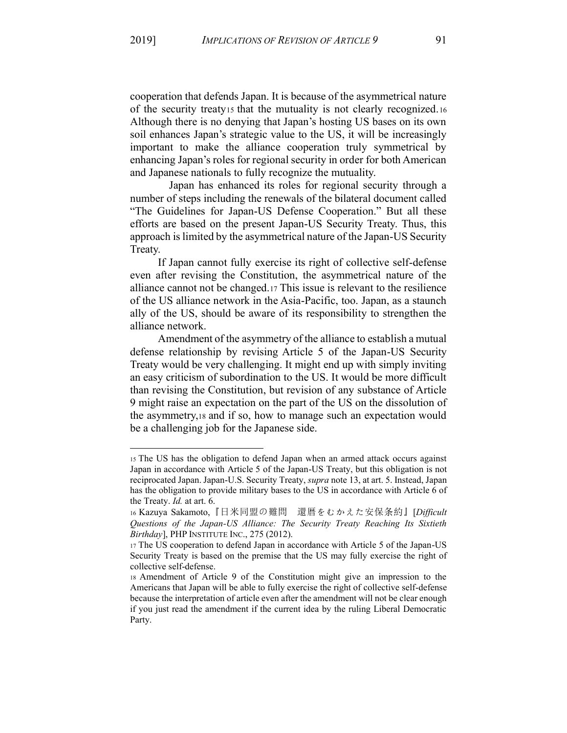cooperation that defends Japan. It is because of the asymmetrical nature of the security treaty<sub>15</sub> that the mutuality is not clearly recognized. Although there is no denying that Japan's hosting US bases on its own soil enhances Japan's strategic value to the US, it will be increasingly important to make the alliance cooperation truly symmetrical by enhancing Japan's roles for regional security in order for both American and Japanese nationals to fully recognize the mutuality.

Japan has enhanced its roles for regional security through a number of steps including the renewals of the bilateral document called "The Guidelines for Japan-US Defense Cooperation." But all these efforts are based on the present Japan-US Security Treaty. Thus, this approach is limited by the asymmetrical nature of the Japan-US Security Treaty.

If Japan cannot fully exercise its right of collective self-defense even after revising the Constitution, the asymmetrical nature of the alliance cannot not be changed. 17 This issue is relevant to the resilience of the US alliance network in the Asia-Pacific, too. Japan, as a staunch ally of the US, should be aware of its responsibility to strengthen the alliance network.

Amendment of the asymmetry of the alliance to establish a mutual defense relationship by revising Article 5 of the Japan-US Security Treaty would be very challenging. It might end up with simply inviting an easy criticism of subordination to the US. It would be more difficult than revising the Constitution, but revision of any substance of Article 9 might raise an expectation on the part of the US on the dissolution of the asymmetry,  $18$  and if so, how to manage such an expectation would be a challenging job for the Japanese side.

<sup>15</sup> The US has the obligation to defend Japan when an armed attack occurs against Japan in accordance with Article 5 of the Japan-US Treaty, but this obligation is not reciprocated Japan. Japan-U.S. Security Treaty, *supra* note 13, at art. 5. Instead, Japan has the obligation to provide military bases to the US in accordance with Article 6 of the Treaty. *Id.* at art. 6.

<sup>16</sup> Kazuya Sakamoto,『日米同盟の難問 還暦をむかえた安保条約』[*Difficult* Questions of the Japan-US Alliance: The Security Treaty Reaching Its Sixtieth Birthday], PHP INSTITUTE INC., 275 (2012).

<sup>17</sup> The US cooperation to defend Japan in accordance with Article 5 of the Japan-US Security Treaty is based on the premise that the US may fully exercise the right of collective self-defense.

<sup>18</sup> Amendment of Article 9 of the Constitution might give an impression to the Americans that Japan will be able to fully exercise the right of collective self-defense because the interpretation of article even after the amendment will not be clear enough if you just read the amendment if the current idea by the ruling Liberal Democratic Party.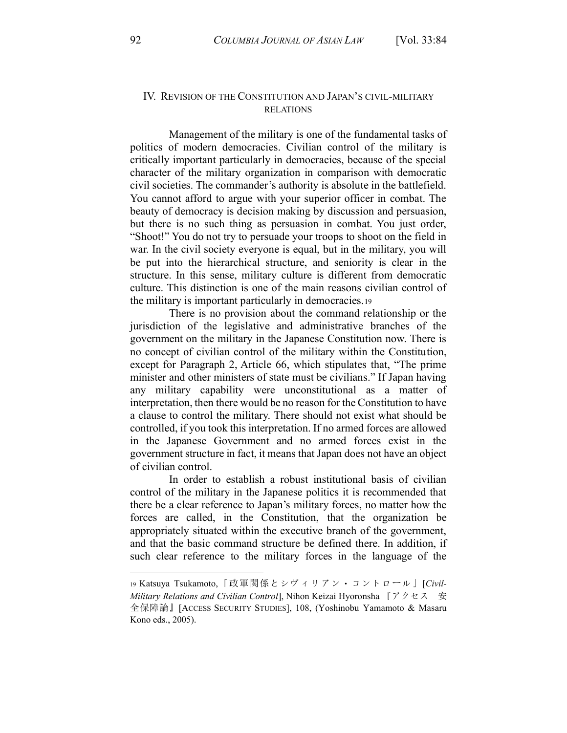## IV. REVISION OF THE CONSTITUTION AND JAPAN'S CIVIL-MILITARY **RELATIONS**

Management of the military is one of the fundamental tasks of politics of modern democracies. Civilian control of the military is critically important particularly in democracies, because of the special character of the military organization in comparison with democratic civil societies. The commander's authority is absolute in the battlefield. You cannot afford to argue with your superior officer in combat. The beauty of democracy is decision making by discussion and persuasion, but there is no such thing as persuasion in combat. You just order, "Shoot!" You do not try to persuade your troops to shoot on the field in war. In the civil society everyone is equal, but in the military, you will be put into the hierarchical structure, and seniority is clear in the structure. In this sense, military culture is different from democratic culture. This distinction is one of the main reasons civilian control of the military is important particularly in democracies.19

There is no provision about the command relationship or the jurisdiction of the legislative and administrative branches of the government on the military in the Japanese Constitution now. There is no concept of civilian control of the military within the Constitution, except for Paragraph 2, Article 66, which stipulates that, "The prime minister and other ministers of state must be civilians." If Japan having any military capability were unconstitutional as a matter of interpretation, then there would be no reason for the Constitution to have a clause to control the military. There should not exist what should be controlled, if you took this interpretation. If no armed forces are allowed in the Japanese Government and no armed forces exist in the government structure in fact, it means that Japan does not have an object of civilian control.

In order to establish a robust institutional basis of civilian control of the military in the Japanese politics it is recommended that there be a clear reference to Japan's military forces, no matter how the forces are called, in the Constitution, that the organization be appropriately situated within the executive branch of the government, and that the basic command structure be defined there. In addition, if such clear reference to the military forces in the language of the

<sup>19</sup> Katsuya Tsukamoto,「政軍関係とシヴィリアン・コントロール」[Civil-Military Relations and Civilian Control], Nihon Keizai Hyoronsha 『アクセス 安 全保障論』 [ACCESS SECURITY STUDIES], 108, (Yoshinobu Yamamoto & Masaru Kono eds., 2005).